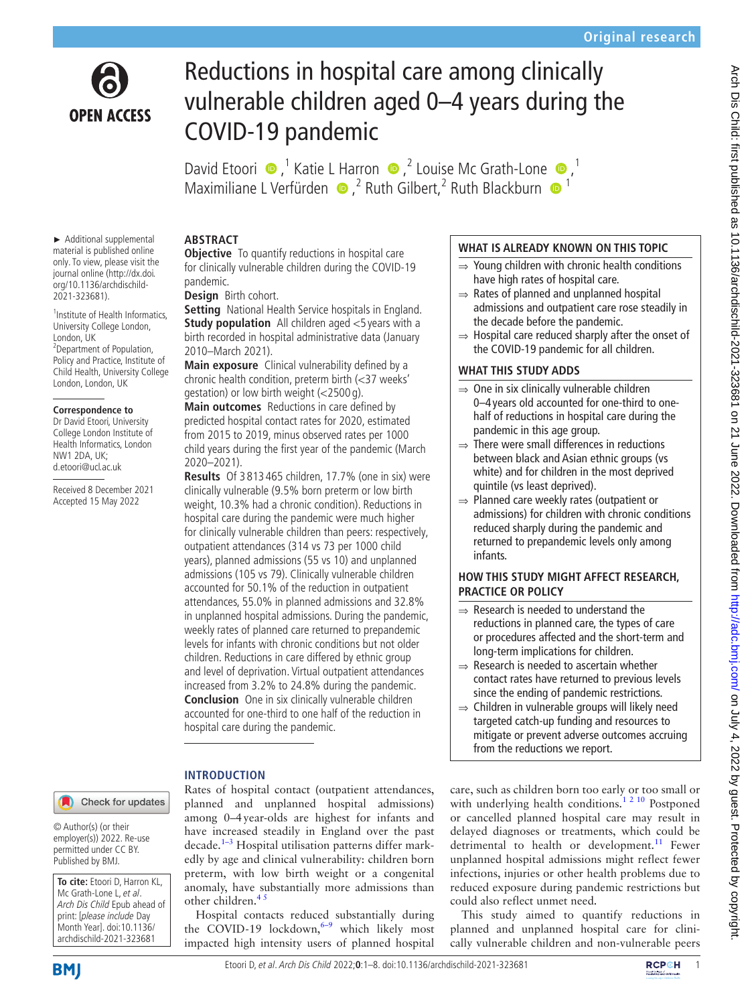

# Reductions in hospital care among clinically vulnerable children aged 0–4 years during the COVID-19 pandemic

DavidEtoori  $\bullet$ ,<sup>1</sup> Katie L Harron  $\bullet$ ,<sup>2</sup> Louise Mc Grath-Lone  $\bullet$ ,<sup>1</sup> Maximiliane L Verfürden  $\bullet$ , <sup>2</sup> Ruth Gilbert, <sup>2</sup> Ruth Blackburn  $\bullet$ <sup>1</sup>

#### ► Additional supplemental material is published online only. To view, please visit the journal online ([http://dx.doi.](http://dx.doi.org/10.1136/archdischild-2021-323681) [org/10.1136/archdischild-](http://dx.doi.org/10.1136/archdischild-2021-323681)[2021-323681\)](http://dx.doi.org/10.1136/archdischild-2021-323681).

1 Institute of Health Informatics, University College London, London, UK <sup>2</sup> Department of Population, Policy and Practice, Institute of Child Health, University College London, London, UK

#### **Correspondence to**

Dr David Etoori, University College London Institute of Health Informatics, London NW1 2DA, UK; d.etoori@ucl.ac.uk

Received 8 December 2021 Accepted 15 May 2022

## Check for updates

© Author(s) (or their employer(s)) 2022. Re-use permitted under CC BY. Published by BMJ.

**To cite:** Etoori D, Harron KL, Mc Grath-Lone L, et al. Arch Dis Child Epub ahead of print: [please include Day Month Year]. doi:10.1136/ archdischild-2021-323681

## **ABSTRACT**

**Objective** To quantify reductions in hospital care for clinically vulnerable children during the COVID-19 pandemic.

**Design** Birth cohort.

**Setting** National Health Service hospitals in England. **Study population** All children aged <5 years with a birth recorded in hospital administrative data (January 2010–March 2021).

**Main exposure** Clinical vulnerability defined by a chronic health condition, preterm birth (<37 weeks' gestation) or low birth weight (<2500 g).

**Main outcomes** Reductions in care defined by predicted hospital contact rates for 2020, estimated from 2015 to 2019, minus observed rates per 1000 child years during the first year of the pandemic (March 2020–2021).

**Results** Of 3 813 465 children, 17.7% (one in six) were clinically vulnerable (9.5% born preterm or low birth weight, 10.3% had a chronic condition). Reductions in hospital care during the pandemic were much higher for clinically vulnerable children than peers: respectively, outpatient attendances (314 vs 73 per 1000 child years), planned admissions (55 vs 10) and unplanned admissions (105 vs 79). Clinically vulnerable children accounted for 50.1% of the reduction in outpatient attendances, 55.0% in planned admissions and 32.8% in unplanned hospital admissions. During the pandemic, weekly rates of planned care returned to prepandemic levels for infants with chronic conditions but not older children. Reductions in care differed by ethnic group and level of deprivation. Virtual outpatient attendances increased from 3.2% to 24.8% during the pandemic. **Conclusion** One in six clinically vulnerable children accounted for one-third to one half of the reduction in hospital care during the pandemic.

# **INTRODUCTION**

Rates of hospital contact (outpatient attendances, planned and unplanned hospital admissions) among 0–4year-olds are highest for infants and have increased steadily in England over the past  $decade.<sup>1-3</sup>$  Hospital utilisation patterns differ markedly by age and clinical vulnerability: children born preterm, with low birth weight or a congenital anomaly, have substantially more admissions than other children.<sup>45</sup>

Hospital contacts reduced substantially during the COVID-19 lockdown,  $6-9$  which likely most impacted high intensity users of planned hospital

## **WHAT IS ALREADY KNOWN ON THIS TOPIC**

- ⇒ Young children with chronic health conditions have high rates of hospital care.
- $\Rightarrow$  Rates of planned and unplanned hospital admissions and outpatient care rose steadily in the decade before the pandemic.
- ⇒ Hospital care reduced sharply after the onset of the COVID-19 pandemic for all children.

# **WHAT THIS STUDY ADDS**

- $\Rightarrow$  One in six clinically vulnerable children 0–4 years old accounted for one-third to onehalf of reductions in hospital care during the pandemic in this age group.
- $\Rightarrow$  There were small differences in reductions between black and Asian ethnic groups (vs white) and for children in the most deprived quintile (vs least deprived).
- ⇒ Planned care weekly rates (outpatient or admissions) for children with chronic conditions reduced sharply during the pandemic and returned to prepandemic levels only among infants.

# **HOW THIS STUDY MIGHT AFFECT RESEARCH, PRACTICE OR POLICY**

- $\Rightarrow$  Research is needed to understand the reductions in planned care, the types of care or procedures affected and the short-term and long-term implications for children.
- $\Rightarrow$  Research is needed to ascertain whether contact rates have returned to previous levels since the ending of pandemic restrictions.
- ⇒ Children in vulnerable groups will likely need targeted catch-up funding and resources to mitigate or prevent adverse outcomes accruing from the reductions we report.

care, such as children born too early or too small or with underlying health conditions.<sup>1 2 10</sup> Postponed or cancelled planned hospital care may result in delayed diagnoses or treatments, which could be detrimental to health or development.<sup>11</sup> Fewer unplanned hospital admissions might reflect fewer infections, injuries or other health problems due to reduced exposure during pandemic restrictions but could also reflect unmet need.

This study aimed to quantify reductions in planned and unplanned hospital care for clinically vulnerable children and non-vulnerable peers



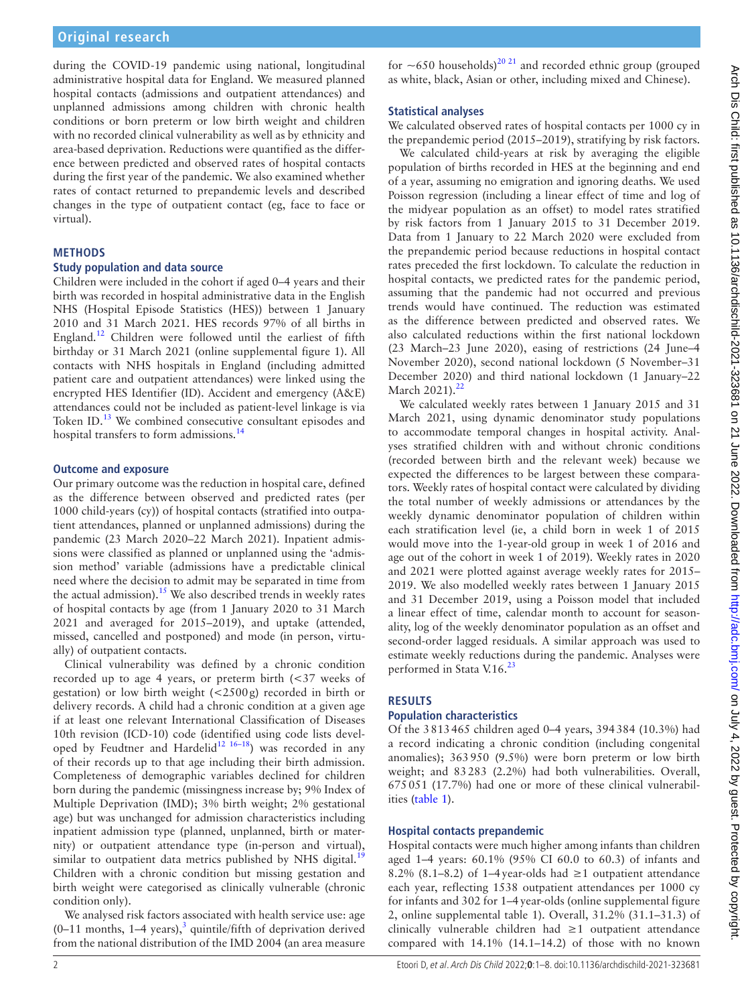during the COVID-19 pandemic using national, longitudinal administrative hospital data for England. We measured planned hospital contacts (admissions and outpatient attendances) and unplanned admissions among children with chronic health conditions or born preterm or low birth weight and children with no recorded clinical vulnerability as well as by ethnicity and area-based deprivation. Reductions were quantified as the difference between predicted and observed rates of hospital contacts during the first year of the pandemic. We also examined whether rates of contact returned to prepandemic levels and described changes in the type of outpatient contact (eg, face to face or virtual).

## **METHODS**

#### **Study population and data source**

Children were included in the cohort if aged 0–4 years and their birth was recorded in hospital administrative data in the English NHS (Hospital Episode Statistics (HES)) between 1 January 2010 and 31 March 2021. HES records 97% of all births in England[.12](#page-6-4) Children were followed until the earliest of fifth birthday or 31 March 2021 ([online supplemental figure 1](https://dx.doi.org/10.1136/archdischild-2021-323681)). All contacts with NHS hospitals in England (including admitted patient care and outpatient attendances) were linked using the encrypted HES Identifier (ID). Accident and emergency (A&E) attendances could not be included as patient-level linkage is via Token ID.<sup>13</sup> We combined consecutive consultant episodes and hospital transfers to form admissions.<sup>[14](#page-6-6)</sup>

#### **Outcome and exposure**

Our primary outcome was the reduction in hospital care, defined as the difference between observed and predicted rates (per 1000 child-years (cy)) of hospital contacts (stratified into outpatient attendances, planned or unplanned admissions) during the pandemic (23 March 2020–22 March 2021). Inpatient admissions were classified as planned or unplanned using the 'admission method' variable (admissions have a predictable clinical need where the decision to admit may be separated in time from the actual admission).<sup>[15](#page-6-7)</sup> We also described trends in weekly rates of hospital contacts by age (from 1 January 2020 to 31 March 2021 and averaged for 2015–2019), and uptake (attended, missed, cancelled and postponed) and mode (in person, virtually) of outpatient contacts.

Clinical vulnerability was defined by a chronic condition recorded up to age 4 years, or preterm birth (<37 weeks of gestation) or low birth weight (<2500g) recorded in birth or delivery records. A child had a chronic condition at a given age if at least one relevant International Classification of Diseases 10th revision (ICD-10) code (identified using code lists developed by Feudtner and Hardelid<sup>12 16–18</sup>) was recorded in any of their records up to that age including their birth admission. Completeness of demographic variables declined for children born during the pandemic (missingness increase by; 9% Index of Multiple Deprivation (IMD); 3% birth weight; 2% gestational age) but was unchanged for admission characteristics including inpatient admission type (planned, unplanned, birth or maternity) or outpatient attendance type (in-person and virtual), similar to outpatient data metrics published by NHS digital.<sup>1</sup> Children with a chronic condition but missing gestation and birth weight were categorised as clinically vulnerable (chronic condition only).

We analysed risk factors associated with health service use: age  $(0-11 \text{ months}, 1-4 \text{ years})$ ,<sup>[3](#page-6-9)</sup> quintile/fifth of deprivation derived from the national distribution of the IMD 2004 (an area measure

## **Statistical analyses**

We calculated observed rates of hospital contacts per 1000 cy in the prepandemic period (2015–2019), stratifying by risk factors.

We calculated child-years at risk by averaging the eligible population of births recorded in HES at the beginning and end of a year, assuming no emigration and ignoring deaths. We used Poisson regression (including a linear effect of time and log of the midyear population as an offset) to model rates stratified by risk factors from 1 January 2015 to 31 December 2019. Data from 1 January to 22 March 2020 were excluded from the prepandemic period because reductions in hospital contact rates preceded the first lockdown. To calculate the reduction in hospital contacts, we predicted rates for the pandemic period, assuming that the pandemic had not occurred and previous trends would have continued. The reduction was estimated as the difference between predicted and observed rates. We also calculated reductions within the first national lockdown (23 March–23 June 2020), easing of restrictions (24 June–4 November 2020), second national lockdown (5 November–31 December 2020) and third national lockdown (1 January–22 March 2021).<sup>[22](#page-6-11)</sup>

We calculated weekly rates between 1 January 2015 and 31 March 2021, using dynamic denominator study populations to accommodate temporal changes in hospital activity. Analyses stratified children with and without chronic conditions (recorded between birth and the relevant week) because we expected the differences to be largest between these comparators. Weekly rates of hospital contact were calculated by dividing the total number of weekly admissions or attendances by the weekly dynamic denominator population of children within each stratification level (ie, a child born in week 1 of 2015 would move into the 1-year-old group in week 1 of 2016 and age out of the cohort in week 1 of 2019). Weekly rates in 2020 and 2021 were plotted against average weekly rates for 2015– 2019. We also modelled weekly rates between 1 January 2015 and 31 December 2019, using a Poisson model that included a linear effect of time, calendar month to account for seasonality, log of the weekly denominator population as an offset and second-order lagged residuals. A similar approach was used to estimate weekly reductions during the pandemic. Analyses were performed in Stata V.16.<sup>[23](#page-6-12)</sup>

## **RESULTS**

## **Population characteristics**

Of the 3813465 children aged 0–4 years, 394384 (10.3%) had a record indicating a chronic condition (including congenital anomalies); 363950 (9.5%) were born preterm or low birth weight; and 83283 (2.2%) had both vulnerabilities. Overall, 675051 (17.7%) had one or more of these clinical vulnerabilities ([table](#page-2-0) 1).

## **Hospital contacts prepandemic**

Hospital contacts were much higher among infants than children aged 1–4 years: 60.1% (95% CI 60.0 to 60.3) of infants and 8.2% (8.1–8.2) of 1–4 year-olds had  $\geq$  1 outpatient attendance each year, reflecting 1538 outpatient attendances per 1000 cy for infants and 302 for 1–4year-olds [\(online supplemental figure](https://dx.doi.org/10.1136/archdischild-2021-323681) [2,](https://dx.doi.org/10.1136/archdischild-2021-323681) [online supplemental table 1](https://dx.doi.org/10.1136/archdischild-2021-323681)). Overall, 31.2% (31.1–31.3) of clinically vulnerable children had ≥1 outpatient attendance compared with 14.1% (14.1–14.2) of those with no known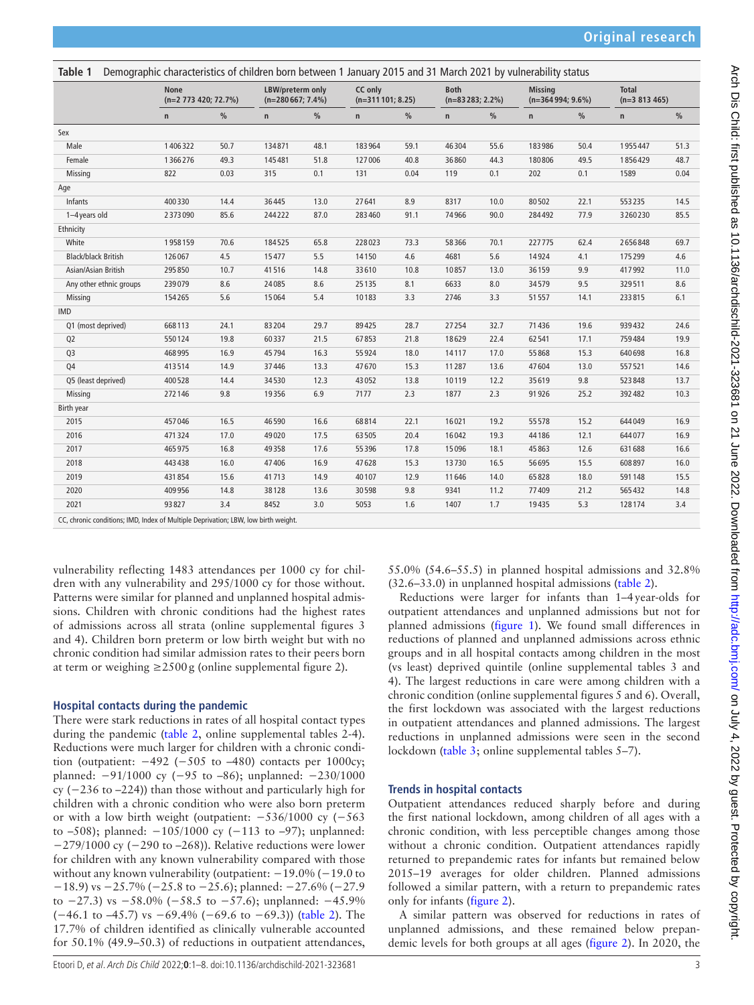<span id="page-2-0"></span>

| Table 1                    | Demographic characteristics of children born between 1 January 2015 and 31 March 2021 by vulnerability status |      |                                         |      |                               |      |                                   |               |                                      |               |                                 |      |
|----------------------------|---------------------------------------------------------------------------------------------------------------|------|-----------------------------------------|------|-------------------------------|------|-----------------------------------|---------------|--------------------------------------|---------------|---------------------------------|------|
|                            | <b>None</b><br>$(n=2 773 420; 72.7%)$                                                                         |      | LBW/preterm only<br>$(n=280667; 7.4\%)$ |      | CC only<br>$(n=311101; 8.25)$ |      | <b>Both</b><br>$(n=83283; 2.2\%)$ |               | <b>Missina</b><br>$(n=364994; 9.6%)$ |               | <b>Total</b><br>$(n=3 813 465)$ |      |
|                            | n                                                                                                             | $\%$ | $\mathsf{n}$                            | $\%$ | $\mathsf{n}$                  | $\%$ | $\mathsf{n}$                      | $\frac{0}{0}$ | n                                    | $\frac{0}{0}$ | n                               | %    |
| Sex                        |                                                                                                               |      |                                         |      |                               |      |                                   |               |                                      |               |                                 |      |
| Male                       | 1406322                                                                                                       | 50.7 | 134871                                  | 48.1 | 183964                        | 59.1 | 46304                             | 55.6          | 183986                               | 50.4          | 1955447                         | 51.3 |
| Female                     | 1366276                                                                                                       | 49.3 | 145481                                  | 51.8 | 127006                        | 40.8 | 36860                             | 44.3          | 180806                               | 49.5          | 1856429                         | 48.7 |
| Missing                    | 822                                                                                                           | 0.03 | 315                                     | 0.1  | 131                           | 0.04 | 119                               | 0.1           | 202                                  | 0.1           | 1589                            | 0.04 |
| Age                        |                                                                                                               |      |                                         |      |                               |      |                                   |               |                                      |               |                                 |      |
| Infants                    | 400330                                                                                                        | 14.4 | 36445                                   | 13.0 | 27641                         | 8.9  | 8317                              | 10.0          | 80502                                | 22.1          | 553235                          | 14.5 |
| 1-4 years old              | 2373090                                                                                                       | 85.6 | 244222                                  | 87.0 | 283 460                       | 91.1 | 74966                             | 90.0          | 284492                               | 77.9          | 3260230                         | 85.5 |
| Ethnicity                  |                                                                                                               |      |                                         |      |                               |      |                                   |               |                                      |               |                                 |      |
| White                      | 1958159                                                                                                       | 70.6 | 184525                                  | 65.8 | 228023                        | 73.3 | 58366                             | 70.1          | 227775                               | 62.4          | 2656848                         | 69.7 |
| <b>Black/black British</b> | 126067                                                                                                        | 4.5  | 15477                                   | 5.5  | 14150                         | 4.6  | 4681                              | 5.6           | 14924                                | 4.1           | 175299                          | 4.6  |
| Asian/Asian British        | 295850                                                                                                        | 10.7 | 41516                                   | 14.8 | 33610                         | 10.8 | 10857                             | 13.0          | 36159                                | 9.9           | 417992                          | 11.0 |
| Any other ethnic groups    | 239079                                                                                                        | 8.6  | 24085                                   | 8.6  | 25135                         | 8.1  | 6633                              | 8.0           | 34579                                | 9.5           | 329511                          | 8.6  |
| Missing                    | 154265                                                                                                        | 5.6  | 15064                                   | 5.4  | 10183                         | 3.3  | 2746                              | 3.3           | 51557                                | 14.1          | 233815                          | 6.1  |
| <b>IMD</b>                 |                                                                                                               |      |                                         |      |                               |      |                                   |               |                                      |               |                                 |      |
| Q1 (most deprived)         | 668113                                                                                                        | 24.1 | 83204                                   | 29.7 | 89425                         | 28.7 | 27254                             | 32.7          | 71436                                | 19.6          | 939432                          | 24.6 |
| Q <sub>2</sub>             | 550124                                                                                                        | 19.8 | 60337                                   | 21.5 | 67853                         | 21.8 | 18629                             | 22.4          | 62541                                | 17.1          | 759484                          | 19.9 |
| Q <sub>3</sub>             | 468995                                                                                                        | 16.9 | 45794                                   | 16.3 | 55924                         | 18.0 | 14117                             | 17.0          | 55868                                | 15.3          | 640698                          | 16.8 |
| Q4                         | 413514                                                                                                        | 14.9 | 37446                                   | 13.3 | 47670                         | 15.3 | 11287                             | 13.6          | 47604                                | 13.0          | 557521                          | 14.6 |
| Q5 (least deprived)        | 400528                                                                                                        | 14.4 | 34530                                   | 12.3 | 43052                         | 13.8 | 10119                             | 12.2          | 35619                                | 9.8           | 523848                          | 13.7 |
| Missing                    | 272146                                                                                                        | 9.8  | 19356                                   | 6.9  | 7177                          | 2.3  | 1877                              | 2.3           | 91926                                | 25.2          | 392482                          | 10.3 |
| Birth year                 |                                                                                                               |      |                                         |      |                               |      |                                   |               |                                      |               |                                 |      |
| 2015                       | 457046                                                                                                        | 16.5 | 46590                                   | 16.6 | 68814                         | 22.1 | 16021                             | 19.2          | 55578                                | 15.2          | 644049                          | 16.9 |
| 2016                       | 471324                                                                                                        | 17.0 | 49020                                   | 17.5 | 63505                         | 20.4 | 16042                             | 19.3          | 44186                                | 12.1          | 644077                          | 16.9 |
| 2017                       | 465975                                                                                                        | 16.8 | 49358                                   | 17.6 | 55396                         | 17.8 | 15096                             | 18.1          | 45863                                | 12.6          | 631688                          | 16.6 |
| 2018                       | 443438                                                                                                        | 16.0 | 47406                                   | 16.9 | 47628                         | 15.3 | 13730                             | 16.5          | 56695                                | 15.5          | 608897                          | 16.0 |
| 2019                       | 431854                                                                                                        | 15.6 | 41713                                   | 14.9 | 40107                         | 12.9 | 11646                             | 14.0          | 65828                                | 18.0          | 591148                          | 15.5 |
| 2020                       | 409956                                                                                                        | 14.8 | 38128                                   | 13.6 | 30598                         | 9.8  | 9341                              | 11.2          | 77409                                | 21.2          | 565432                          | 14.8 |
| 2021                       | 93827                                                                                                         | 3.4  | 8452                                    | 3.0  | 5053                          | 1.6  | 1407                              | 1.7           | 19435                                | 5.3           | 128174                          | 3.4  |
|                            |                                                                                                               |      |                                         |      |                               |      |                                   |               |                                      |               |                                 |      |

CC, chronic conditions; IMD, Index of Multiple Deprivation; LBW, low birth weight.

vulnerability reflecting 1483 attendances per 1000 cy for children with any vulnerability and 295/1000 cy for those without. Patterns were similar for planned and unplanned hospital admissions. Children with chronic conditions had the highest rates of admissions across all strata ([online supplemental figures 3](https://dx.doi.org/10.1136/archdischild-2021-323681)  [and 4](https://dx.doi.org/10.1136/archdischild-2021-323681)). Children born preterm or low birth weight but with no chronic condition had similar admission rates to their peers born at term or weighing  $\geq$  2500g [\(online supplemental figure 2\)](https://dx.doi.org/10.1136/archdischild-2021-323681).

## **Hospital contacts during the pandemic**

There were stark reductions in rates of all hospital contact types during the pandemic ([table](#page-3-0) 2, [online supplemental tables 2-4](https://dx.doi.org/10.1136/archdischild-2021-323681)). Reductions were much larger for children with a chronic condition (outpatient:  $-492$  ( $-505$  to  $-480$ ) contacts per 1000cy; planned: −91/1000 cy (−95 to -86); unplanned: −230/1000 cy (−236 to –224)) than those without and particularly high for children with a chronic condition who were also born preterm or with a low birth weight (outpatient: −536/1000 cy (−563 to –508); planned: −105/1000 cy (−113 to –97); unplanned: −279/1000 cy (−290 to –268)). Relative reductions were lower for children with any known vulnerability compared with those without any known vulnerability (outpatient: −19.0% (−19.0 to −18.9) vs −25.7% (−25.8 to −25.6); planned: −27.6% (−27.9 to  $-27.3$ ) vs  $-58.0\%$  ( $-58.5$  to  $-57.6$ ); unplanned:  $-45.9\%$ (−46.1 to –45.7) vs −69.4% (−69.6 to −69.3)) ([table](#page-3-0) 2). The 17.7% of children identified as clinically vulnerable accounted for 50.1% (49.9–50.3) of reductions in outpatient attendances, 55.0% (54.6–55.5) in planned hospital admissions and 32.8% (32.6–33.0) in unplanned hospital admissions [\(table](#page-3-0) 2).

Reductions were larger for infants than 1–4year-olds for outpatient attendances and unplanned admissions but not for planned admissions ([figure](#page-3-1) 1). We found small differences in reductions of planned and unplanned admissions across ethnic groups and in all hospital contacts among children in the most (vs least) deprived quintile [\(online supplemental tables 3 and](https://dx.doi.org/10.1136/archdischild-2021-323681) [4\)](https://dx.doi.org/10.1136/archdischild-2021-323681). The largest reductions in care were among children with a chronic condition ([online supplemental figures 5 and 6\)](https://dx.doi.org/10.1136/archdischild-2021-323681). Overall, the first lockdown was associated with the largest reductions in outpatient attendances and planned admissions. The largest reductions in unplanned admissions were seen in the second lockdown [\(table](#page-4-0) 3; [online supplemental tables 5–7](https://dx.doi.org/10.1136/archdischild-2021-323681)).

## **Trends in hospital contacts**

Outpatient attendances reduced sharply before and during the first national lockdown, among children of all ages with a chronic condition, with less perceptible changes among those without a chronic condition. Outpatient attendances rapidly returned to prepandemic rates for infants but remained below 2015–19 averages for older children. Planned admissions followed a similar pattern, with a return to prepandemic rates only for infants ([figure](#page-5-0) 2).

A similar pattern was observed for reductions in rates of unplanned admissions, and these remained below prepandemic levels for both groups at all ages ([figure](#page-5-0) 2). In 2020, the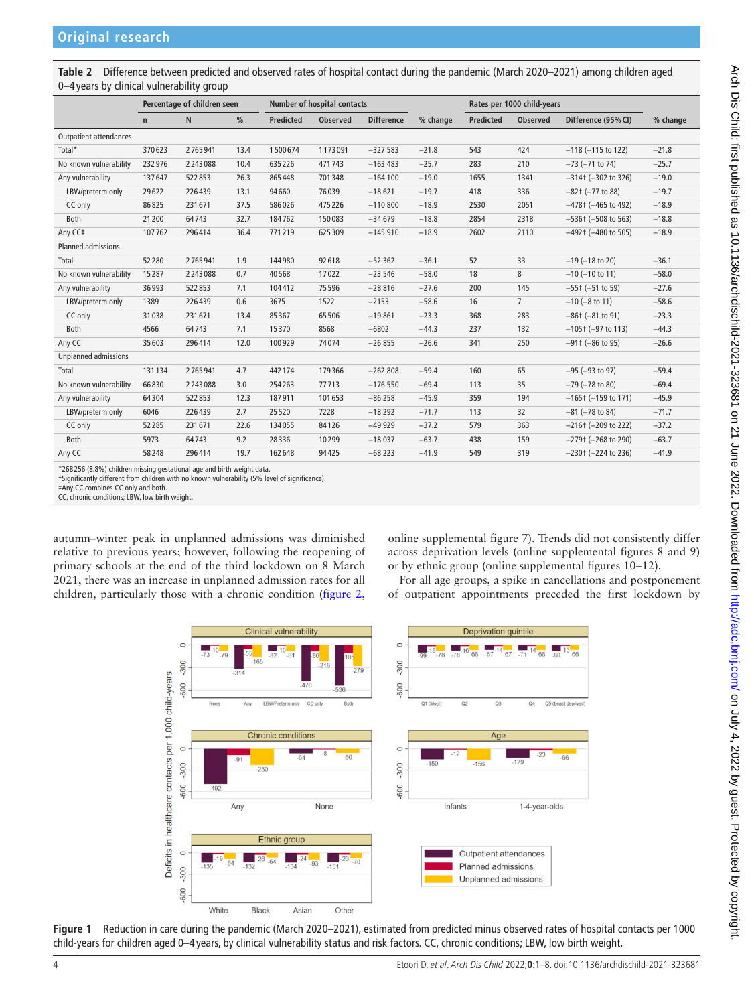<span id="page-3-0"></span>**Table 2** Difference between predicted and observed rates of hospital contact during the pandemic (March 2020–2021) among children aged 0–4 years by clinical vulnerability group

| Percentage of children seen |         | <b>Number of hospital contacts</b> |                  |                 |                   | Rates per 1000 child-years |                  |                 |                           |          |
|-----------------------------|---------|------------------------------------|------------------|-----------------|-------------------|----------------------------|------------------|-----------------|---------------------------|----------|
| $\mathsf{n}$                | N       | $\frac{0}{0}$                      | <b>Predicted</b> | <b>Observed</b> | <b>Difference</b> | % change                   | <b>Predicted</b> | <b>Observed</b> | Difference (95% CI)       | % change |
|                             |         |                                    |                  |                 |                   |                            |                  |                 |                           |          |
| 370623                      | 2765941 | 13.4                               | 1500674          | 1173091         | $-327583$         | $-21.8$                    | 543              | 424             | $-118$ ( $-115$ to 122)   | $-21.8$  |
| 232976                      | 2243088 | 10.4                               | 635226           | 471743          | $-163483$         | $-25.7$                    | 283              | 210             | $-73$ ( $-71$ to $74$ )   | $-25.7$  |
| 137647                      | 522853  | 26.3                               | 865448           | 701348          | $-164100$         | $-19.0$                    | 1655             | 1341            | $-314$ ( $-302$ to 326)   | $-19.0$  |
| 29622                       | 226439  | 13.1                               | 94660            | 76039           | $-18621$          | $-19.7$                    | 418              | 336             | $-82$ t $(-77$ to 88)     | $-19.7$  |
| 86825                       | 231671  | 37.5                               | 586026           | 475226          | $-110800$         | $-18.9$                    | 2530             | 2051            | $-478$ † ( $-465$ to 492) | $-18.9$  |
| 21200                       | 64743   | 32.7                               | 184762           | 150083          | $-34679$          | $-18.8$                    | 2854             | 2318            | $-536$ t ( $-508$ to 563) | $-18.8$  |
| 107762                      | 296414  | 36.4                               | 771219           | 625309          | $-145910$         | $-18.9$                    | 2602             | 2110            | $-492$ † ( $-480$ to 505) | $-18.9$  |
|                             |         |                                    |                  |                 |                   |                            |                  |                 |                           |          |
| 52280                       | 2765941 | 1.9                                | 144980           | 92618           | $-52362$          | $-36.1$                    | 52               | 33              | $-19$ ( $-18$ to 20)      | $-36.1$  |
| 15287                       | 2243088 | 0.7                                | 40568            | 17022           | $-23546$          | $-58.0$                    | 18               | 8               | $-10$ ( $-10$ to 11)      | $-58.0$  |
| 36993                       | 522853  | 7.1                                | 104412           | 75596           | $-28816$          | $-27.6$                    | 200              | 145             | $-55$ † ( $-51$ to 59)    | $-27.6$  |
| 1389                        | 226439  | 0.6                                | 3675             | 1522            | $-2153$           | $-58.6$                    | 16               | $\overline{7}$  | $-10$ ( $-8$ to 11)       | $-58.6$  |
| 31038                       | 231671  | 13.4                               | 85367            | 65506           | $-19861$          | $-23.3$                    | 368              | 283             | $-86$ † $(-81$ to 91)     | $-23.3$  |
| 4566                        | 64743   | 7.1                                | 15370            | 8568            | $-6802$           | $-44.3$                    | 237              | 132             | $-105$ + $(-97$ to 113)   | $-44.3$  |
| 35603                       | 296414  | 12.0                               | 100929           | 74074           | $-26855$          | $-26.6$                    | 341              | 250             | $-91$ + $(-86$ to 95)     | $-26.6$  |
|                             |         |                                    |                  |                 |                   |                            |                  |                 |                           |          |
| 131134                      | 2765941 | 4.7                                | 442174           | 179366          | $-262808$         | $-59.4$                    | 160              | 65              | $-95$ ( $-93$ to 97)      | $-59.4$  |
| 66830                       | 2243088 | 3.0                                | 254263           | 77713           | $-176550$         | $-69.4$                    | 113              | 35              | $-79$ ( $-78$ to 80)      | $-69.4$  |
| 64304                       | 522853  | 12.3                               | 187911           | 101653          | $-86258$          | $-45.9$                    | 359              | 194             | $-165$ t ( $-159$ to 171) | $-45.9$  |
| 6046                        | 226439  | 2.7                                | 25520            | 7228            | $-18292$          | $-71.7$                    | 113              | 32              | $-81$ ( $-78$ to 84)      | $-71.7$  |
| 52285                       | 231671  | 22.6                               | 134055           | 84126           | $-49929$          | $-37.2$                    | 579              | 363             | $-216$ † ( $-209$ to 222) | $-37.2$  |
| 5973                        | 64743   | 9.2                                | 28336            | 10299           | $-18037$          | $-63.7$                    | 438              | 159             | $-279$ ( $-268$ to 290)   | $-63.7$  |
| 58248                       | 296414  | 19.7                               | 162648           | 94425           | $-68223$          | $-41.9$                    | 549              | 319             | $-230$ t $(-224$ to 236)  | $-41.9$  |
|                             |         |                                    |                  |                 |                   |                            |                  |                 |                           |          |

\*268 256 (8.8%) children missing gestational age and birth weight data.

†Significantly different from children with no known vulnerability (5% level of significance).

‡Any CC combines CC only and both.

CC, chronic conditions; LBW, low birth weight.

autumn–winter peak in unplanned admissions was diminished relative to previous years; however, following the reopening of primary schools at the end of the third lockdown on 8 March 2021, there was an increase in unplanned admission rates for all children, particularly those with a chronic condition [\(figure](#page-5-0) 2, [online supplemental figure 7](https://dx.doi.org/10.1136/archdischild-2021-323681)). Trends did not consistently differ across deprivation levels [\(online supplemental figures 8 and 9](https://dx.doi.org/10.1136/archdischild-2021-323681)) or by ethnic group ([online supplemental figures 10–12](https://dx.doi.org/10.1136/archdischild-2021-323681)).

For all age groups, a spike in cancellations and postponement of outpatient appointments preceded the first lockdown by



<span id="page-3-1"></span>**Figure 1** Reduction in care during the pandemic (March 2020–2021), estimated from predicted minus observed rates of hospital contacts per 1000 child-years for children aged 0–4 years, by clinical vulnerability status and risk factors. CC, chronic conditions; LBW, low birth weight.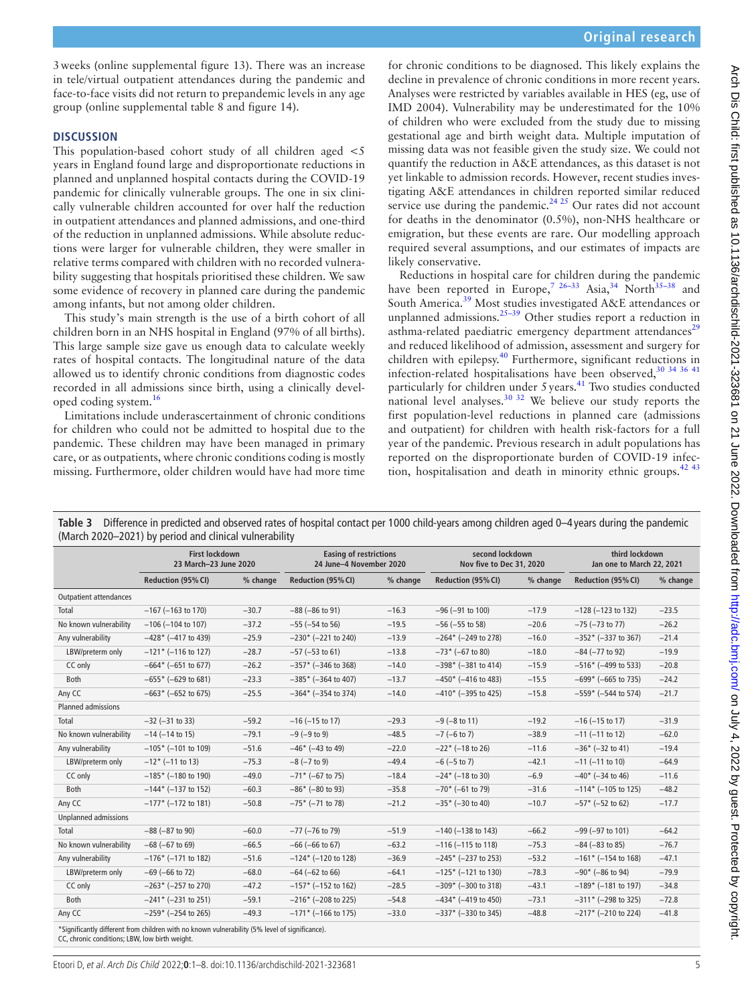3weeks [\(online supplemental figure 13](https://dx.doi.org/10.1136/archdischild-2021-323681)). There was an increase in tele/virtual outpatient attendances during the pandemic and face-to-face visits did not return to prepandemic levels in any age group [\(online supplemental table 8 and figure 14](https://dx.doi.org/10.1136/archdischild-2021-323681)).

#### **DISCUSSION**

This population-based cohort study of all children aged  $\lt$ 5 years in England found large and disproportionate reductions in planned and unplanned hospital contacts during the COVID-19 pandemic for clinically vulnerable groups. The one in six clinically vulnerable children accounted for over half the reduction in outpatient attendances and planned admissions, and one-third of the reduction in unplanned admissions. While absolute reductions were larger for vulnerable children, they were smaller in relative terms compared with children with no recorded vulnerability suggesting that hospitals prioritised these children. We saw some evidence of recovery in planned care during the pandemic among infants, but not among older children.

This study's main strength is the use of a birth cohort of all children born in an NHS hospital in England (97% of all births). This large sample size gave us enough data to calculate weekly rates of hospital contacts. The longitudinal nature of the data allowed us to identify chronic conditions from diagnostic codes recorded in all admissions since birth, using a clinically developed coding system.[16](#page-6-13)

Limitations include underascertainment of chronic conditions for children who could not be admitted to hospital due to the pandemic. These children may have been managed in primary care, or as outpatients, where chronic conditions coding is mostly missing. Furthermore, older children would have had more time

for chronic conditions to be diagnosed. This likely explains the decline in prevalence of chronic conditions in more recent years. Analyses were restricted by variables available in HES (eg, use of IMD 2004). Vulnerability may be underestimated for the 10% of children who were excluded from the study due to missing gestational age and birth weight data. Multiple imputation of missing data was not feasible given the study size. We could not quantify the reduction in A&E attendances, as this dataset is not yet linkable to admission records. However, recent studies investigating A&E attendances in children reported similar reduced service use during the pandemic. $24.25$  Our rates did not account for deaths in the denominator (0.5%), non-NHS healthcare or emigration, but these events are rare. Our modelling approach required several assumptions, and our estimates of impacts are likely conservative.

Reductions in hospital care for children during the pandemic have been reported in Europe,<sup>7 26-33</sup> Asia,<sup>[34](#page-7-0)</sup> North<sup>35-38</sup> and South America.[39](#page-7-2) Most studies investigated A&E attendances or unplanned admissions.<sup>[25–39](#page-6-16)</sup> Other studies report a reduction in asthma-related paediatric emergency department attendances<sup>[29](#page-6-17)</sup> and reduced likelihood of admission, assessment and surgery for children with epilepsy.<sup>[40](#page-7-3)</sup> Furthermore, significant reductions in infection-related hospitalisations have been observed,  $30^{34}$  36 41 particularly for children under 5 years.<sup>41</sup> Two studies conducted national level analyses.<sup>30 32</sup> We believe our study reports the first population-level reductions in planned care (admissions and outpatient) for children with health risk-factors for a full year of the pandemic. Previous research in adult populations has reported on the disproportionate burden of COVID-19 infec-tion, hospitalisation and death in minority ethnic groups.<sup>[42 43](#page-7-5)</sup>

<span id="page-4-0"></span>**Table 3** Difference in predicted and observed rates of hospital contact per 1000 child-years among children aged 0–4 years during the pandemic (March 2020–2021) by period and clinical vulnerability

|                           | (March 2020–2021) by period and chincal vulnerability                                          |          |                                                          |         |                                             |          |                                             |          |
|---------------------------|------------------------------------------------------------------------------------------------|----------|----------------------------------------------------------|---------|---------------------------------------------|----------|---------------------------------------------|----------|
|                           | <b>First lockdown</b><br>23 March-23 June 2020                                                 |          | <b>Easing of restrictions</b><br>24 June-4 November 2020 |         | second lockdown<br>Nov five to Dec 31, 2020 |          | third lockdown<br>Jan one to March 22, 2021 |          |
|                           | Reduction (95% CI)                                                                             | % change | <b>Reduction (95% CI)</b><br>% change                    |         | Reduction (95% CI)                          | % change | <b>Reduction (95% CI)</b>                   | % change |
| Outpatient attendances    |                                                                                                |          |                                                          |         |                                             |          |                                             |          |
| Total                     | $-167$ ( $-163$ to 170)                                                                        | $-30.7$  | $-88$ ( $-86$ to 91)                                     | $-16.3$ | $-96$ ( $-91$ to 100)                       | $-17.9$  | $-128$ ( $-123$ to 132)                     | $-23.5$  |
| No known vulnerability    | $-106$ ( $-104$ to 107)                                                                        | $-37.2$  | $-55$ ( $-54$ to 56)                                     | $-19.5$ | $-56$ ( $-55$ to 58)                        | $-20.6$  | $-75$ ( $-73$ to $77$ )                     | $-26.2$  |
| Any vulnerability         | $-428$ * (-417 to 439)                                                                         | $-25.9$  | $-230$ * ( $-221$ to 240)                                | $-13.9$ | $-264$ * (-249 to 278)                      | $-16.0$  | $-352$ * (-337 to 367)                      | $-21.4$  |
| LBW/preterm only          | $-121$ * (-116 to 127)                                                                         | $-28.7$  | $-57$ ( $-53$ to 61)                                     | $-13.8$ | $-73$ * (-67 to 80)                         | $-18.0$  | $-84$ ( $-77$ to 92)                        | $-19.9$  |
| CC only                   | $-664*$ (-651 to 677)                                                                          | $-26.2$  | $-357$ * (-346 to 368)                                   | $-14.0$ | $-398*$ (-381 to 414)                       | $-15.9$  | $-516*$ (-499 to 533)                       | $-20.8$  |
| <b>Both</b>               | $-655*$ (-629 to 681)                                                                          | $-23.3$  | $-385$ * (-364 to 407)                                   | $-13.7$ | $-450*$ (-416 to 483)                       | $-15.5$  | $-699*$ (-665 to 735)                       | $-24.2$  |
| Any CC                    | $-663$ * (-652 to 675)                                                                         | $-25.5$  | $-364*$ (-354 to 374)                                    | $-14.0$ | $-410*$ (-395 to 425)                       | $-15.8$  | $-559*$ (-544 to 574)                       | $-21.7$  |
| <b>Planned admissions</b> |                                                                                                |          |                                                          |         |                                             |          |                                             |          |
| Total                     | $-32$ $(-31$ to 33)                                                                            | $-59.2$  | $-16$ ( $-15$ to 17)                                     | $-29.3$ | $-9$ ( $-8$ to 11)                          | $-19.2$  | $-16$ ( $-15$ to 17)                        | $-31.9$  |
| No known vulnerability    | $-14$ ( $-14$ to 15)                                                                           | $-79.1$  | $-9$ ( $-9$ to 9)                                        | $-48.5$ | $-7$ (-6 to 7)                              | $-38.9$  | $-11$ ( $-11$ to 12)                        | $-62.0$  |
| Any vulnerability         | $-105$ * (-101 to 109)                                                                         | $-51.6$  | $-46*$ (-43 to 49)                                       | $-22.0$ | $-22$ * (-18 to 26)                         | $-11.6$  | $-36*$ ( $-32$ to 41)                       | $-19.4$  |
| LBW/preterm only          | $-12$ * (-11 to 13)                                                                            | $-75.3$  | $-8$ ( $-7$ to 9)                                        | $-49.4$ | $-6$ ( $-5$ to 7)                           | $-42.1$  | $-11$ ( $-11$ to 10)                        | $-64.9$  |
| CC only                   | $-185$ * (-180 to 190)                                                                         | $-49.0$  | $-71$ * (-67 to 75)                                      | $-18.4$ | $-24$ * (-18 to 30)                         | $-6.9$   | $-40*$ (-34 to 46)                          | $-11.6$  |
| <b>Both</b>               | $-144$ <sup>*</sup> (-137 to 152)                                                              | $-60.3$  | $-86*$ (-80 to 93)                                       | $-35.8$ | $-70$ * (-61 to 79)                         | $-31.6$  | $-114$ <sup>*</sup> (-105 to 125)           | $-48.2$  |
| Any CC                    | $-177$ * (-172 to 181)                                                                         | $-50.8$  | $-75$ * (-71 to 78)                                      | $-21.2$ | $-35*$ (-30 to 40)                          | $-10.7$  | $-57$ * (-52 to 62)                         | $-17.7$  |
| Unplanned admissions      |                                                                                                |          |                                                          |         |                                             |          |                                             |          |
| Total                     | $-88$ ( $-87$ to 90)                                                                           | $-60.0$  | $-77$ ( $-76$ to 79)                                     | $-51.9$ | $-140$ ( $-138$ to 143)                     | $-66.2$  | $-99$ ( $-97$ to 101)                       | $-64.2$  |
| No known vulnerability    | $-68$ ( $-67$ to 69)                                                                           | $-66.5$  | $-66$ ( $-66$ to 67)                                     | $-63.2$ | $-116$ ( $-115$ to 118)                     | $-75.3$  | $-84$ ( $-83$ to 85)                        | $-76.7$  |
| Any vulnerability         | $-176$ * (-171 to 182)                                                                         | $-51.6$  | $-124$ <sup>*</sup> (-120 to 128)                        | $-36.9$ | $-245$ * ( $-237$ to 253)                   | $-53.2$  | $-161$ <sup>*</sup> (-154 to 168)           | $-47.1$  |
| LBW/preterm only          | $-69$ ( $-66$ to 72)                                                                           | $-68.0$  | $-64$ ( $-62$ to 66)                                     | $-64.1$ | $-125$ * (-121 to 130)                      | $-78.3$  | $-90*$ (-86 to 94)                          | $-79.9$  |
| CC only                   | $-263$ * (-257 to 270)                                                                         | $-47.2$  | $-157$ * (-152 to 162)                                   | $-28.5$ | $-309*$ (-300 to 318)                       | $-43.1$  | $-189*$ (-181 to 197)                       | $-34.8$  |
| <b>Both</b>               | $-241$ * (-231 to 251)                                                                         | $-59.1$  | $-216*$ (-208 to 225)                                    | $-54.8$ | $-434*$ (-419 to 450)                       | $-73.1$  | $-311$ * (-298 to 325)                      | $-72.8$  |
| Any CC                    | $-259*$ (-254 to 265)                                                                          | $-49.3$  | $-171$ * (-166 to 175)                                   | $-33.0$ | $-337$ * (-330 to 345)                      | $-48.8$  | $-217$ * (-210 to 224)                      | $-41.8$  |
|                           | *Significantly different from children with no known vulnerability (5% level of significance). |          |                                                          |         |                                             |          |                                             |          |

\*Significantly different from children with no known vulnerability (5% level of significance). CC, chronic conditions; LBW, low birth weight.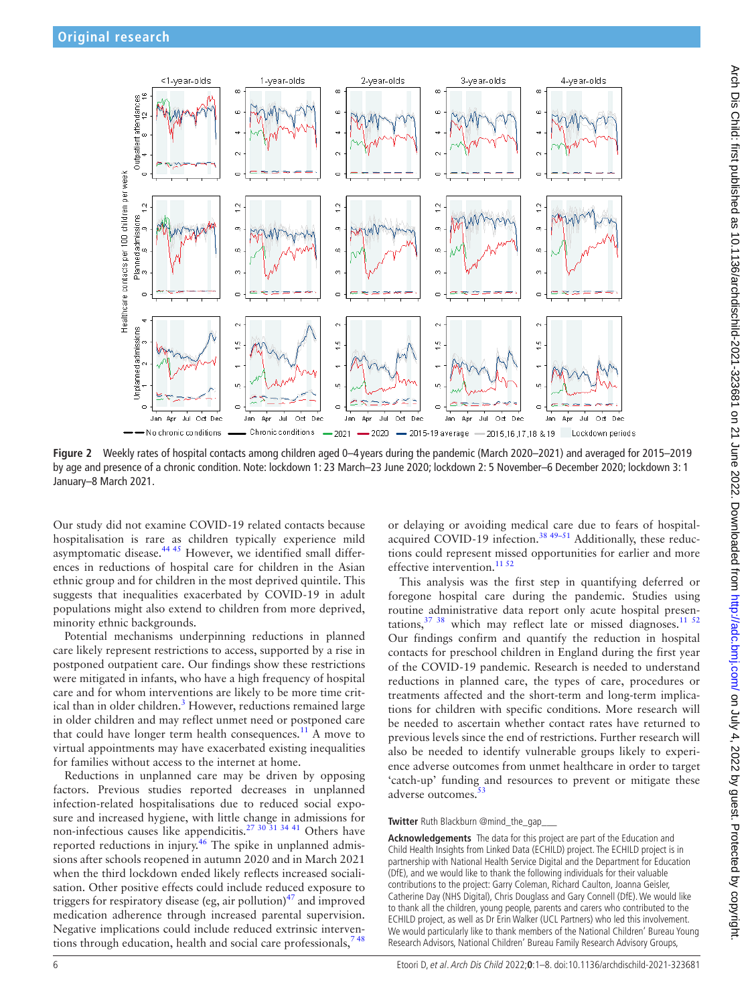

<span id="page-5-0"></span>**Figure 2** Weekly rates of hospital contacts among children aged 0–4 years during the pandemic (March 2020–2021) and averaged for 2015–2019 by age and presence of a chronic condition. Note: lockdown 1: 23 March–23 June 2020; lockdown 2: 5 November–6 December 2020; lockdown 3: 1 January–8 March 2021.

Our study did not examine COVID-19 related contacts because hospitalisation is rare as children typically experience mild  $\frac{4445}{1000}$  However, we identified small differences in reductions of hospital care for children in the Asian ethnic group and for children in the most deprived quintile. This suggests that inequalities exacerbated by COVID-19 in adult populations might also extend to children from more deprived, minority ethnic backgrounds.

Potential mechanisms underpinning reductions in planned care likely represent restrictions to access, supported by a rise in postponed outpatient care. Our findings show these restrictions were mitigated in infants, who have a high frequency of hospital care and for whom interventions are likely to be more time crit-ical than in older children.<sup>[3](#page-6-9)</sup> However, reductions remained large in older children and may reflect unmet need or postponed care that could have longer term health consequences.<sup>11</sup> A move to virtual appointments may have exacerbated existing inequalities for families without access to the internet at home.

Reductions in unplanned care may be driven by opposing factors. Previous studies reported decreases in unplanned infection-related hospitalisations due to reduced social exposure and increased hygiene, with little change in admissions for non-infectious causes like appendicitis.<sup>27</sup>  $30\overline{31}$   $34\overline{41}$  Others have reported reductions in injury.<sup>46</sup> The spike in unplanned admissions after schools reopened in autumn 2020 and in March 2021 when the third lockdown ended likely reflects increased socialisation. Other positive effects could include reduced exposure to triggers for respiratory disease (eg, air pollution) $47$  and improved medication adherence through increased parental supervision. Negative implications could include reduced extrinsic interventions through education, health and social care professionals,  $748$ 

or delaying or avoiding medical care due to fears of hospitalacquired COVID-19 infection.<sup>38 49–51</sup> Additionally, these reductions could represent missed opportunities for earlier and more effective intervention.<sup>[11 52](#page-6-3)</sup>

This analysis was the first step in quantifying deferred or foregone hospital care during the pandemic. Studies using routine administrative data report only acute hospital presentations, $37 \frac{38}{1}$  which may reflect late or missed diagnoses.<sup>[11 52](#page-6-3)</sup> Our findings confirm and quantify the reduction in hospital contacts for preschool children in England during the first year of the COVID-19 pandemic. Research is needed to understand reductions in planned care, the types of care, procedures or treatments affected and the short-term and long-term implications for children with specific conditions. More research will be needed to ascertain whether contact rates have returned to previous levels since the end of restrictions. Further research will also be needed to identify vulnerable groups likely to experience adverse outcomes from unmet healthcare in order to target 'catch-up' funding and resources to prevent or mitigate these adverse outcomes.<sup>[53](#page-7-11)</sup>

#### **Twitter** Ruth Blackburn [@mind\\_the\\_gap\\_\\_\\_](https://twitter.com/mind_the_gap___)

**Acknowledgements** The data for this project are part of the Education and Child Health Insights from Linked Data (ECHILD) project. The ECHILD project is in partnership with National Health Service Digital and the Department for Education (DfE), and we would like to thank the following individuals for their valuable contributions to the project: Garry Coleman, Richard Caulton, Joanna Geisler, Catherine Day (NHS Digital), Chris Douglass and Gary Connell (DfE). We would like to thank all the children, young people, parents and carers who contributed to the ECHILD project, as well as Dr Erin Walker (UCL Partners) who led this involvement. We would particularly like to thank members of the National Children' Bureau Young Research Advisors, National Children' Bureau Family Research Advisory Groups,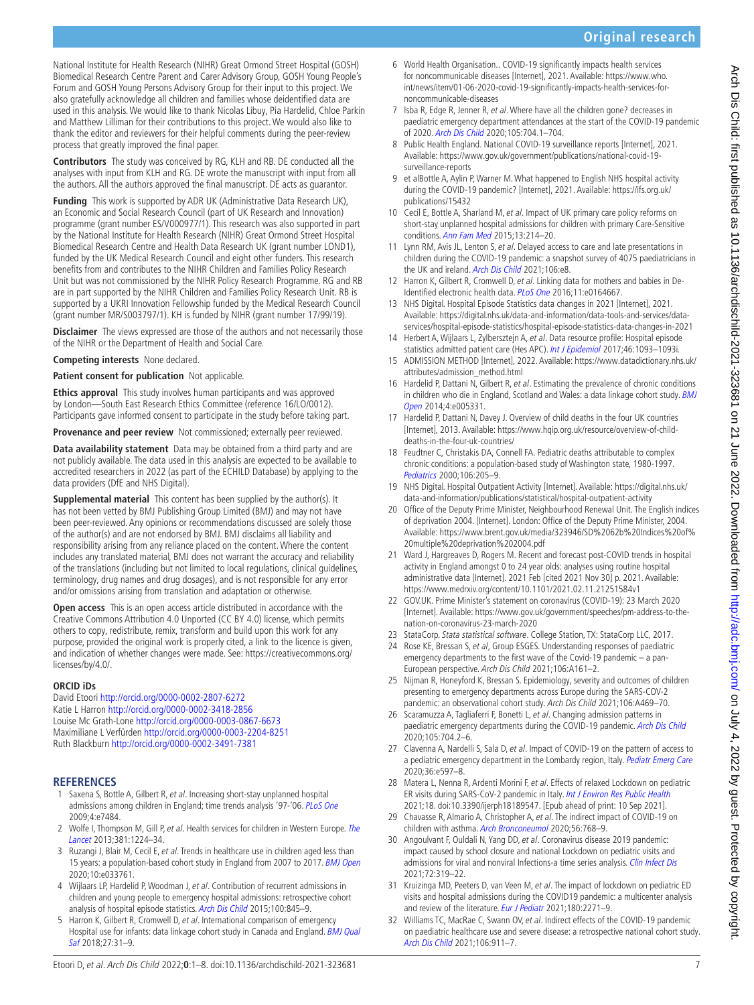**Original research**

National Institute for Health Research (NIHR) Great Ormond Street Hospital (GOSH) Biomedical Research Centre Parent and Carer Advisory Group, GOSH Young People's Forum and GOSH Young Persons Advisory Group for their input to this project. We also gratefully acknowledge all children and families whose deidentified data are used in this analysis. We would like to thank Nicolas Libuy, Pia Hardelid, Chloe Parkin and Matthew Lilliman for their contributions to this project. We would also like to thank the editor and reviewers for their helpful comments during the peer-review process that greatly improved the final paper.

**Contributors** The study was conceived by RG, KLH and RB. DE conducted all the analyses with input from KLH and RG. DE wrote the manuscript with input from all the authors. All the authors approved the final manuscript. DE acts as guarantor.

**Funding** This work is supported by ADR UK (Administrative Data Research UK), an Economic and Social Research Council (part of UK Research and Innovation) programme (grant number ES/V000977/1). This research was also supported in part by the National Institute for Health Research (NIHR) Great Ormond Street Hospital Biomedical Research Centre and Health Data Research UK (grant number LOND1), funded by the UK Medical Research Council and eight other funders. This research benefits from and contributes to the NIHR Children and Families Policy Research Unit but was not commissioned by the NIHR Policy Research Programme. RG and RB are in part supported by the NIHR Children and Families Policy Research Unit. RB is supported by a UKRI Innovation Fellowship funded by the Medical Research Council (grant number MR/S003797/1). KH is funded by NIHR (grant number 17/99/19).

**Disclaimer** The views expressed are those of the authors and not necessarily those of the NIHR or the Department of Health and Social Care.

**Competing interests** None declared.

**Patient consent for publication** Not applicable.

**Ethics approval** This study involves human participants and was approved by London—South East Research Ethics Committee (reference 16/LO/0012). Participants gave informed consent to participate in the study before taking part.

**Provenance and peer review** Not commissioned; externally peer reviewed.

**Data availability statement** Data may be obtained from a third party and are not publicly available. The data used in this analysis are expected to be available to accredited researchers in 2022 (as part of the ECHILD Database) by applying to the data providers (DfE and NHS Digital).

<span id="page-6-10"></span><span id="page-6-8"></span>**Supplemental material** This content has been supplied by the author(s). It has not been vetted by BMJ Publishing Group Limited (BMJ) and may not have been peer-reviewed. Any opinions or recommendations discussed are solely those of the author(s) and are not endorsed by BMJ. BMJ disclaims all liability and responsibility arising from any reliance placed on the content. Where the content includes any translated material, BMJ does not warrant the accuracy and reliability of the translations (including but not limited to local regulations, clinical guidelines, terminology, drug names and drug dosages), and is not responsible for any error and/or omissions arising from translation and adaptation or otherwise.

<span id="page-6-14"></span><span id="page-6-12"></span><span id="page-6-11"></span>**Open access** This is an open access article distributed in accordance with the Creative Commons Attribution 4.0 Unported (CC BY 4.0) license, which permits others to copy, redistribute, remix, transform and build upon this work for any purpose, provided the original work is properly cited, a link to the licence is given, and indication of whether changes were made. See: [https://creativecommons.org/](https://creativecommons.org/licenses/by/4.0/) [licenses/by/4.0/.](https://creativecommons.org/licenses/by/4.0/)

#### <span id="page-6-16"></span>**ORCID iDs**

David Etoori<http://orcid.org/0000-0002-2807-6272> Katie L Harron <http://orcid.org/0000-0002-3418-2856> Louise Mc Grath-Lone <http://orcid.org/0000-0003-0867-6673> Maximiliane L Verfürden <http://orcid.org/0000-0003-2204-8251> Ruth Blackburn<http://orcid.org/0000-0002-3491-7381>

#### **REFERENCES**

- <span id="page-6-19"></span><span id="page-6-0"></span>1 Saxena S, Bottle A, Gilbert R, et al. Increasing short-stay unplanned hospital admissions among children in England; time trends analysis '97-'06. [PLoS One](http://dx.doi.org/10.1371/journal.pone.0007484) 2009;4:e7484.
- <span id="page-6-17"></span>2 Wolfe I, Thompson M, Gill P, et al. Health services for children in Western Europe. The [Lancet](http://dx.doi.org/10.1016/S0140-6736(12)62085-6) 2013;381:1224–34.
- <span id="page-6-18"></span><span id="page-6-9"></span>3 Ruzangi J, Blair M, Cecil E, et al. Trends in healthcare use in children aged less than 15 years: a population-based cohort study in England from 2007 to 2017. [BMJ Open](http://dx.doi.org/10.1136/bmjopen-2019-033761) 2020;10:e033761.
- <span id="page-6-1"></span>4 Wijlaars LP, Hardelid P, Woodman J, et al. Contribution of recurrent admissions in children and young people to emergency hospital admissions: retrospective cohort analysis of hospital episode statistics. [Arch Dis Child](http://dx.doi.org/10.1136/archdischild-2014-307771) 2015;100:845–9.
- 5 Harron K, Gilbert R, Cromwell D, et al. International comparison of emergency Hospital use for infants: data linkage cohort study in Canada and England. BMJ Qual [Saf](http://dx.doi.org/10.1136/bmjqs-2016-006253) 2018;27:31–9.
- <span id="page-6-15"></span><span id="page-6-13"></span><span id="page-6-7"></span><span id="page-6-6"></span><span id="page-6-5"></span><span id="page-6-4"></span><span id="page-6-3"></span><span id="page-6-2"></span>6 World Health Organisation.. COVID-19 significantly impacts health services for noncommunicable diseases [Internet], 2021. Available: [https://www.who.](https://www.who.int/news/item/01-06-2020-covid-19-significantly-impacts-health-services-for-noncommunicable-diseases) [int/news/item/01-06-2020-covid-19-significantly-impacts-health-services-for](https://www.who.int/news/item/01-06-2020-covid-19-significantly-impacts-health-services-for-noncommunicable-diseases)[noncommunicable-diseases](https://www.who.int/news/item/01-06-2020-covid-19-significantly-impacts-health-services-for-noncommunicable-diseases)
	- 7 Isba R, Edge R, Jenner R, et al. Where have all the children gone? decreases in paediatric emergency department attendances at the start of the COVID-19 pandemic of 2020. [Arch Dis Child](http://dx.doi.org/10.1136/archdischild-2020-319385) 2020;105:704.1–704.
	- 8 Public Health England. National COVID-19 surveillance reports [Internet], 2021. Available: [https://www.gov.uk/government/publications/national-covid-19](https://www.gov.uk/government/publications/national-covid-19-surveillance-reports) [surveillance-reports](https://www.gov.uk/government/publications/national-covid-19-surveillance-reports)
	- 9 et alBottle A, Aylin P, Warner M. What happened to English NHS hospital activity during the COVID-19 pandemic? [Internet], 2021. Available: [https://ifs.org.uk/](https://ifs.org.uk/publications/15432) [publications/15432](https://ifs.org.uk/publications/15432)
	- 10 Cecil E, Bottle A, Sharland M, et al. Impact of UK primary care policy reforms on short-stay unplanned hospital admissions for children with primary Care-Sensitive conditions. [Ann Fam Med](http://dx.doi.org/10.1370/afm.1786) 2015;13:214–20.
	- 11 Lynn RM, Avis JL, Lenton S, et al. Delayed access to care and late presentations in children during the COVID-19 pandemic: a snapshot survey of 4075 paediatricians in the UK and ireland. [Arch Dis Child](http://dx.doi.org/10.1136/archdischild-2020-319848) 2021;106:e8.
	- 12 Harron K, Gilbert R, Cromwell D, et al. Linking data for mothers and babies in De-Identified electronic health data. [PLoS One](http://dx.doi.org/10.1371/journal.pone.0164667) 2016;11:e0164667.
	- 13 NHS Digital. Hospital Episode Statistics data changes in 2021 [Internet], 2021. Available: [https://digital.nhs.uk/data-and-information/data-tools-and-services/data](https://digital.nhs.uk/data-and-information/data-tools-and-services/data-services/hospital-episode-statistics/hospital-episode-statistics-data-changes-in-2021)[services/hospital-episode-statistics/hospital-episode-statistics-data-changes-in-2021](https://digital.nhs.uk/data-and-information/data-tools-and-services/data-services/hospital-episode-statistics/hospital-episode-statistics-data-changes-in-2021)
	- 14 Herbert A, Wijlaars L, Zylbersztejn A, et al. Data resource profile: Hospital episode statistics admitted patient care (Hes APC). [Int J Epidemiol](http://dx.doi.org/10.1093/ije/dyx015) 2017;46:1093-1093i.
	- 15 ADMISSION METHOD [Internet], 2022. Available: [https://www.datadictionary.nhs.uk/](https://www.datadictionary.nhs.uk/attributes/admission_method.html) [attributes/admission\\_method.html](https://www.datadictionary.nhs.uk/attributes/admission_method.html)
	- 16 Hardelid P, Dattani N, Gilbert R, et al. Estimating the prevalence of chronic conditions in children who die in England, Scotland and Wales: a data linkage cohort study. BMJ [Open](http://dx.doi.org/10.1136/bmjopen-2014-005331) 2014;4:e005331.
	- 17 Hardelid P, Dattani N, Davey J. Overview of child deaths in the four UK countries [Internet], 2013. Available: [https://www.hqip.org.uk/resource/overview-of-child](https://www.hqip.org.uk/resource/overview-of-child-deaths-in-the-four-uk-countries/)[deaths-in-the-four-uk-countries/](https://www.hqip.org.uk/resource/overview-of-child-deaths-in-the-four-uk-countries/)
	- 18 Feudtner C, Christakis DA, Connell FA. Pediatric deaths attributable to complex chronic conditions: a population-based study of Washington state, 1980-1997. [Pediatrics](http://dx.doi.org/10.1542/peds.106.S1.205) 2000;106:205–9.
	- 19 NHS Digital. Hospital Outpatient Activity [Internet]. Available: [https://digital.nhs.uk/](https://digital.nhs.uk/data-and-information/publications/statistical/hospital-outpatient-activity) [data-and-information/publications/statistical/hospital-outpatient-activity](https://digital.nhs.uk/data-and-information/publications/statistical/hospital-outpatient-activity)
	- 20 Office of the Deputy Prime Minister, Neighbourhood Renewal Unit. The English indices of deprivation 2004. [Internet]. London: Office of the Deputy Prime Minister, 2004. Available: [https://www.brent.gov.uk/media/323946/SD%2062b%20Indices%20of%](https://www.brent.gov.uk/media/323946/SD%2062b%20Indices%20of%20multiple%20deprivation%202004.pdf) [20multiple%20deprivation%202004.pdf](https://www.brent.gov.uk/media/323946/SD%2062b%20Indices%20of%20multiple%20deprivation%202004.pdf)
	- 21 Ward J, Hargreaves D, Rogers M. Recent and forecast post-COVID trends in hospital activity in England amongst 0 to 24 year olds: analyses using routine hospital administrative data [Internet]. 2021 Feb [cited 2021 Nov 30] p. 2021. Available: <https://www.medrxiv.org/content/10.1101/2021.02.11.21251584v1>
	- 22 GOV.UK. Prime Minister's statement on coronavirus (COVID-19): 23 March 2020 [Internet]. Available: [https://www.gov.uk/government/speeches/pm-address-to-the](https://www.gov.uk/government/speeches/pm-address-to-the-nation-on-coronavirus-23-march-2020)[nation-on-coronavirus-23-march-2020](https://www.gov.uk/government/speeches/pm-address-to-the-nation-on-coronavirus-23-march-2020)
	- 23 StataCorp. Stata statistical software. College Station, TX: StataCorp LLC, 2017.
	- 24 Rose KE, Bressan S, et al, Group ESGES. Understanding responses of paediatric emergency departments to the first wave of the Covid-19 pandemic – a pan-European perspective. Arch Dis Child 2021;106:A161–2.
	- 25 Nijman R, Honeyford K, Bressan S. Epidemiology, severity and outcomes of children presenting to emergency departments across Europe during the SARS-COV-2 pandemic: an observational cohort study. Arch Dis Child 2021;106:A469–70.
	- 26 Scaramuzza A, Tagliaferri F, Bonetti L, et al. Changing admission patterns in paediatric emergency departments during the COVID-19 pandemic. [Arch Dis Child](http://dx.doi.org/10.1136/archdischild-2020-319397) 2020;105:704.2–6.
	- 27 Clavenna A, Nardelli S, Sala D, et al. Impact of COVID-19 on the pattern of access to a pediatric emergency department in the Lombardy region, Italy. [Pediatr Emerg Care](http://dx.doi.org/10.1097/PEC.0000000000002232) 2020;36:e597–8.
	- 28 Matera L, Nenna R, Ardenti Morini F, et al. Effects of relaxed Lockdown on pediatric ER visits during SARS-CoV-2 pandemic in Italy. [Int J Environ Res Public Health](http://dx.doi.org/10.3390/ijerph18189547) 2021;18. doi:10.3390/ijerph18189547. [Epub ahead of print: 10 Sep 2021].
	- 29 Chavasse R, Almario A, Christopher A, et al. The indirect impact of COVID-19 on children with asthma. [Arch Bronconeumol](http://dx.doi.org/10.1016/j.arbres.2020.07.003) 2020;56:768-9.
	- 30 Angoulvant F, Ouldali N, Yang DD, et al. Coronavirus disease 2019 pandemic: impact caused by school closure and national Lockdown on pediatric visits and admissions for viral and nonviral Infections-a time series analysis. [Clin Infect Dis](http://dx.doi.org/10.1093/cid/ciaa710) 2021;72:319–22.
	- 31 Kruizinga MD, Peeters D, van Veen M, et al. The impact of lockdown on pediatric ED visits and hospital admissions during the COVID19 pandemic: a multicenter analysis and review of the literature. [Eur J Pediatr](http://dx.doi.org/10.1007/s00431-021-04015-0) 2021;180:2271-9.
	- 32 Williams TC, MacRae C, Swann OV, et al. Indirect effects of the COVID-19 pandemic on paediatric healthcare use and severe disease: a retrospective national cohort study. [Arch Dis Child](http://dx.doi.org/10.1136/archdischild-2020-321008) 2021;106:911–7.